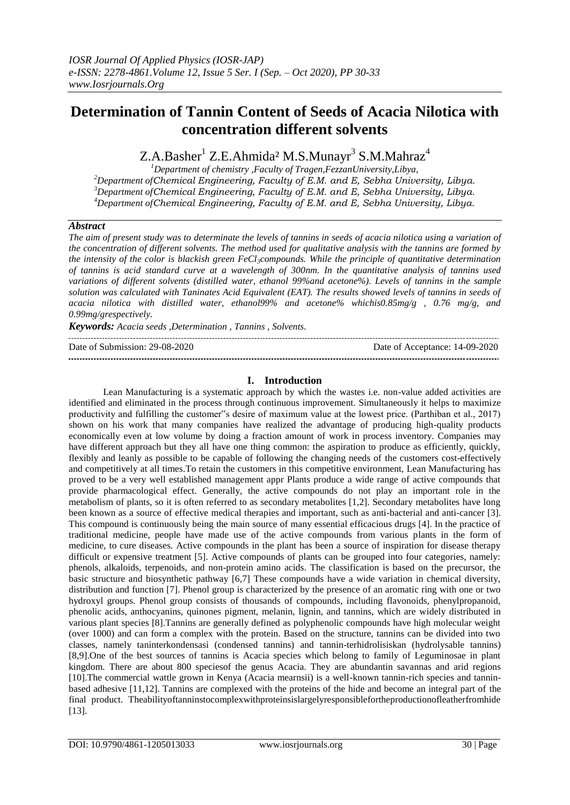# **Determination of Tannin Content of Seeds of Acacia Nilotica with concentration different solvents**

Z.A.Basher<sup>1</sup> Z.E.Ahmida<sup>2</sup> M.S.Munayr<sup>3</sup> S.M.Mahraz<sup>4</sup>

*Department of chemistry ,Faculty of Tragen,FezzanUniversity,Libya, Department ofChemical Engineering, Faculty of E.M. and E, Sebha University, Libya. Department ofChemical Engineering, Faculty of E.M. and E, Sebha University, Libya. Department ofChemical Engineering, Faculty of E.M. and E, Sebha University, Libya.*

## *Abstract*

*The aim of present study was to determinate the levels of tannins in seeds of acacia nilotica using a variation of the concentration of different solvents. The method used for qualitative analysis with the tannins are formed by the intensity of the color is blackish green FeCl3compounds. While the principle of quantitative determination of tannins is acid standard curve at a wavelength of 300nm. In the quantitative analysis of tannins used variations of different solvents (distilled water, ethanol 99%and acetone%). Levels of tannins in the sample*  solution was calculated with Taninates Acid Equivalent (EAT). The results showed levels of tannins in seeds of *acacia nilotica with distilled water, ethanol99% and acetone% whichis0.85mg/g , 0.76 mg/g, and 0.99mg/grespectively.*

*Keywords: Acacia seeds ,Determination , Tannins , Solvents.*

Date of Submission: 29-08-2020 Date of Acceptance: 14-09-2020 

## **I. Introduction**

Lean Manufacturing is a systematic approach by which the wastes i.e. non-value added activities are identified and eliminated in the process through continuous improvement. Simultaneously it helps to maximize productivity and fulfilling the customer"s desire of maximum value at the lowest price. (Parthiban et al., 2017) shown on his work that many companies have realized the advantage of producing high-quality products economically even at low volume by doing a fraction amount of work in process inventory. Companies may have different approach but they all have one thing common: the aspiration to produce as efficiently, quickly, flexibly and leanly as possible to be capable of following the changing needs of the customers cost-effectively and competitively at all times.To retain the customers in this competitive environment, Lean Manufacturing has proved to be a very well established management appr Plants produce a wide range of active compounds that provide pharmacological effect. Generally, the active compounds do not play an important role in the metabolism of plants, so it is often referred to as secondary metabolites [1,2]. Secondary metabolites have long been known as a source of effective medical therapies and important, such as anti-bacterial and anti-cancer [3]. This compound is continuously being the main source of many essential efficacious drugs [4]. In the practice of traditional medicine, people have made use of the active compounds from various plants in the form of medicine, to cure diseases. Active compounds in the plant has been a source of inspiration for disease therapy difficult or expensive treatment [5]. Active compounds of plants can be grouped into four categories, namely: phenols, alkaloids, terpenoids, and non-protein amino acids. The classification is based on the precursor, the basic structure and biosynthetic pathway [6,7] These compounds have a wide variation in chemical diversity, distribution and function [7]. Phenol group is characterized by the presence of an aromatic ring with one or two hydroxyl groups. Phenol group consists of thousands of compounds, including flavonoids, phenylpropanoid, phenolic acids, anthocyanins, quinones pigment, melanin, lignin, and tannins, which are widely distributed in various plant species [8].Tannins are generally defined as polyphenolic compounds have high molecular weight (over 1000) and can form a complex with the protein. Based on the structure, tannins can be divided into two classes, namely taninterkondensasi (condensed tannins) and tannin-terhidrolisiskan (hydrolysable tannins) [8,9].One of the best sources of tannins is Acacia species which belong to family of Leguminosae in plant kingdom. There are about 800 speciesof the genus Acacia. They are abundantin savannas and arid regions [10].The commercial wattle grown in Kenya (Acacia mearnsii) is a well-known tannin-rich species and tanninbased adhesive [11,12]. Tannins are complexed with the proteins of the hide and become an integral part of the final product. Theabilityoftanninstocomplexwithproteinsislargelyresponsiblefortheproductionofleatherfromhide [13].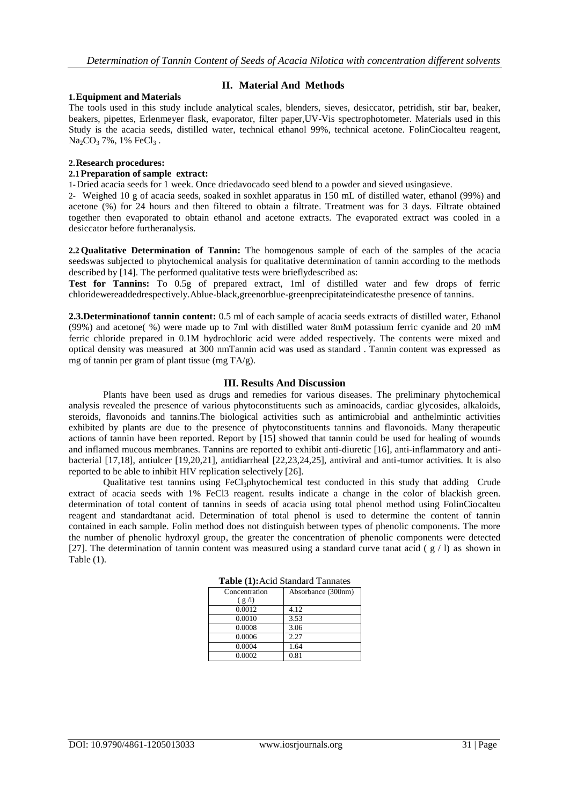## **II. Material And Methods**

#### **1.Equipment and Materials**

The tools used in this study include analytical scales, blenders, sieves, desiccator, petridish, stir bar, beaker, beakers, pipettes, Erlenmeyer flask, evaporator, filter paper,UV-Vis spectrophotometer. Materials used in this Study is the acacia seeds, distilled water, technical ethanol 99%, technical acetone. FolinCiocalteu reagent,  $Na_2CO_3$  7%, 1% FeCl<sub>3</sub>.

#### **2.Research procedures:**

## **2.1 Preparation of sample extract:**

1-Dried acacia seeds for 1 week. Once driedavocado seed blend to a powder and sieved usingasieve.

2- Weighed 10 g of acacia seeds, soaked in soxhlet apparatus in 150 mL of distilled water, ethanol (99%) and acetone (%) for 24 hours and then filtered to obtain a filtrate. Treatment was for 3 days. Filtrate obtained together then evaporated to obtain ethanol and acetone extracts. The evaporated extract was cooled in a desiccator before furtheranalysis.

**2.2 Qualitative Determination of Tannin:** The homogenous sample of each of the samples of the acacia seedswas subjected to phytochemical analysis for qualitative determination of tannin according to the methods described by [14]. The performed qualitative tests were brieflydescribed as:

**Test for Tannins:** To 0.5g of prepared extract, 1ml of distilled water and few drops of ferric chloridewereaddedrespectively.Ablue-black,greenorblue-greenprecipitateindicatesthe presence of tannins.

**2.3.Determinationof tannin content:** 0.5 ml of each sample of acacia seeds extracts of distilled water, Ethanol (99%) and acetone( %) were made up to 7ml with distilled water 8mM potassium ferric cyanide and 20 mM ferric chloride prepared in 0.1M hydrochloric acid were added respectively. The contents were mixed and optical density was measured at 300 nmTannin acid was used as standard . Tannin content was expressed as mg of tannin per gram of plant tissue (mg TA/g).

#### **III. Results And Discussion**

Plants have been used as drugs and remedies for various diseases. The preliminary phytochemical analysis revealed the presence of various phytoconstituents such as aminoacids, cardiac glycosides, alkaloids, steroids, flavonoids and tannins.The biological activities such as antimicrobial and anthelmintic activities exhibited by plants are due to the presence of phytoconstituents tannins and flavonoids. Many therapeutic actions of tannin have been reported. Report by [15] showed that tannin could be used for healing of wounds and inflamed mucous membranes. Tannins are reported to exhibit anti-diuretic [16], anti-inflammatory and antibacterial [17,18], antiulcer [19,20,21], antidiarrheal [22,23,24,25], antiviral and anti-tumor activities. It is also reported to be able to inhibit HIV replication selectively [26].

Qualitative test tannins using FeCl3phytochemical test conducted in this study that adding Crude extract of acacia seeds with 1% FeCl3 reagent. results indicate a change in the color of blackish green. determination of total content of tannins in seeds of acacia using total phenol method using FolinCiocalteu reagent and standardtanat acid. Determination of total phenol is used to determine the content of tannin contained in each sample. Folin method does not distinguish between types of phenolic components. The more the number of phenolic hydroxyl group, the greater the concentration of phenolic components were detected [27]. The determination of tannin content was measured using a standard curve tanat acid ( $g / I$ ) as shown in Table (1).

| Concentration | Absorbance (300nm) |  |
|---------------|--------------------|--|
| (g/l)         |                    |  |
| 0.0012        | 4.12               |  |
| 0.0010        | 3.53               |  |
| 0.0008        | 3.06               |  |
| 0.0006        | 2.27               |  |
| 0.0004        | 1.64               |  |
| 0.0002        | 0.81               |  |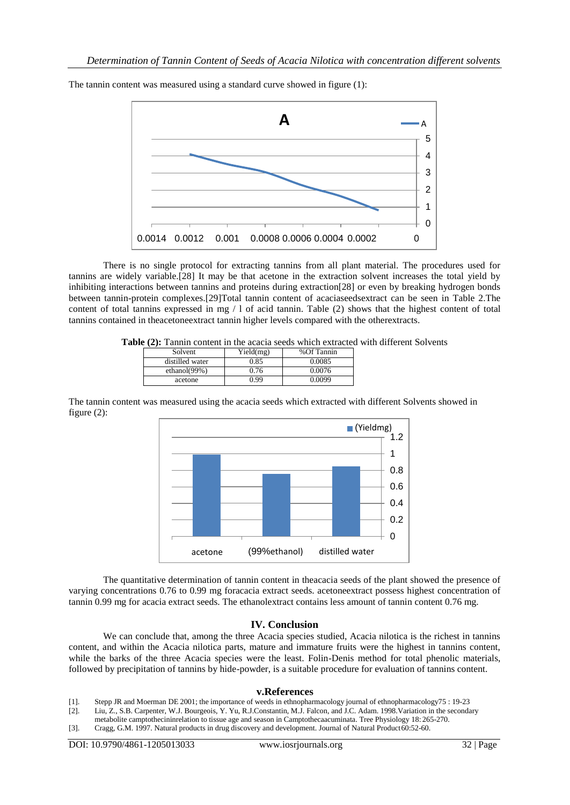

The tannin content was measured using a standard curve showed in figure (1):

There is no single protocol for extracting tannins from all plant material. The procedures used for tannins are widely variable.[28] It may be that acetone in the extraction solvent increases the total yield by inhibiting interactions between tannins and proteins during extraction[28] or even by breaking hydrogen bonds between tannin-protein complexes.[29]Total tannin content of acaciaseedsextract can be seen in Table 2.The content of total tannins expressed in mg / l of acid tannin. Table (2) shows that the highest content of total tannins contained in theacetoneextract tannin higher levels compared with the otherextracts.

**Table (2):** Tannin content in the acacia seeds which extracted with different Solvents

| Solvent         | Yield(mg) | %Of Tannin |
|-----------------|-----------|------------|
| distilled water | ).85      | ን 0085     |
| ethanol $(99%)$ | ).76      | ን 0076     |
| acetone         | ) 99      | J 0099     |

The tannin content was measured using the acacia seeds which extracted with different Solvents showed in figure (2):



The quantitative determination of tannin content in theacacia seeds of the plant showed the presence of varying concentrations 0.76 to 0.99 mg foracacia extract seeds. acetoneextract possess highest concentration of tannin 0.99 mg for acacia extract seeds. The ethanolextract contains less amount of tannin content 0.76 mg.

## **IV. Conclusion**

We can conclude that, among the three Acacia species studied, Acacia nilotica is the richest in tannins content, and within the Acacia nilotica parts, mature and immature fruits were the highest in tannins content, while the barks of the three Acacia species were the least. Folin-Denis method for total phenolic materials, followed by precipitation of tannins by hide-powder, is a suitable procedure for evaluation of tannins content.

#### **v.References**

[1]. Stepp JR and Moerman DE 2001; the importance of weeds in ethnopharmacology journal of ethnopharmacology75 : 19-23

[2]. Liu, Z., S.B. Carpenter, W.J. Bourgeois, Y. Yu, R.J.Constantin, M.J. Falcon, and J.C. Adam. 1998.Variation in the secondary

metabolite camptothecininrelation to tissue age and season in Camptothecaacuminata. Tree Physiology 18: 265-270. [3]. Cragg, G.M. 1997. Natural products in drug discovery and development. Journal of Natural Product60:52-60.